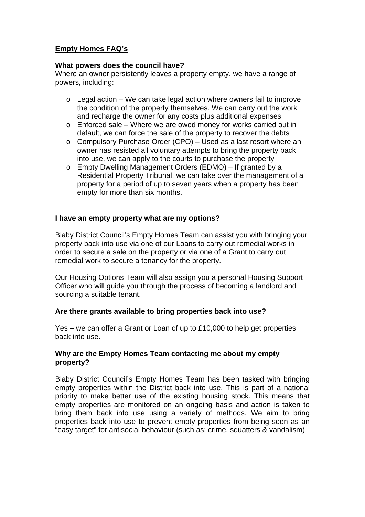# **Empty Homes FAQ's**

#### **What powers does the council have?**

Where an owner persistently leaves a property empty, we have a range of powers, including:

- $\circ$  Legal action We can take legal action where owners fail to improve the condition of the property themselves. We can carry out the work and recharge the owner for any costs plus additional expenses
- o Enforced sale Where we are owed money for works carried out in default, we can force the sale of the property to recover the debts
- o Compulsory Purchase Order (CPO) Used as a last resort where an owner has resisted all voluntary attempts to bring the property back into use, we can apply to the courts to purchase the property
- o Empty Dwelling Management Orders (EDMO) If granted by a Residential Property Tribunal, we can take over the management of a property for a period of up to seven years when a property has been empty for more than six months.

### **I have an empty property what are my options?**

Blaby District Council's Empty Homes Team can assist you with bringing your property back into use via one of our Loans to carry out remedial works in order to secure a sale on the property or via one of a Grant to carry out remedial work to secure a tenancy for the property.

Our Housing Options Team will also assign you a personal Housing Support Officer who will guide you through the process of becoming a landlord and sourcing a suitable tenant.

### **Are there grants available to bring properties back into use?**

Yes – we can offer a Grant or Loan of up to £10,000 to help get properties back into use.

### **Why are the Empty Homes Team contacting me about my empty property?**

Blaby District Council's Empty Homes Team has been tasked with bringing empty properties within the District back into use. This is part of a national priority to make better use of the existing housing stock. This means that empty properties are monitored on an ongoing basis and action is taken to bring them back into use using a variety of methods. We aim to bring properties back into use to prevent empty properties from being seen as an "easy target" for antisocial behaviour (such as; crime, squatters & vandalism)